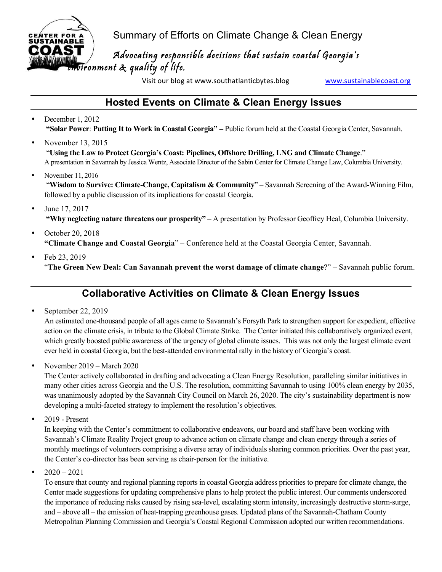CENTER FOR A Summary of Efforts on Climate Change & Clean Energy<br>sustainable

 $\mathbf{r} = \mathbf{r} \cdot \mathbf{r} \cdot \mathbf{r}$  $\blacksquare$  Advocating responsible decisions that sustain coastal Georgia's ironment  $\boldsymbol{\hat{\kappa}}$  quality of life.

Visit our blog at www.southatlanticbytes.blog www.sustainablecoast.org

## **Hosted Events on Climate & Clean Energy Issues**

- December 1, 2012 **"Solar Power**: **Putting It to Work in Coastal Georgia" –** Public forum held at the Coastal Georgia Center, Savannah.
- November 13, 2015 "**Using the Law to Protect Georgia's Coast: Pipelines, Offshore Drilling, LNG and Climate Change**." A presentation in Savannah by Jessica Wentz, Associate Director of the Sabin Center for Climate Change Law, Columbia University.
- November 11, 2016 "**Wisdom to Survive: Climate-Change, Capitalism & Community**" – Savannah Screening of the Award-Winning Film, followed by a public discussion of its implications for coastal Georgia.
- June 17, 2017  **"Why neglecting nature threatens our prosperity"** – A presentation by Professor Geoffrey Heal, Columbia University.
- October 20, 2018 **"Climate Change and Coastal Georgia**" – Conference held at the Coastal Georgia Center, Savannah.
- Feb 23, 2019 "**The Green New Deal: Can Savannah prevent the worst damage of climate change**?" – Savannah public forum.

# **Collaborative Activities on Climate & Clean Energy Issues**

• September 22, 2019

**CENTER FOR** 

COAS

An estimated one-thousand people of all ages came to Savannah's Forsyth Park to strengthen support for expedient, effective action on the climate crisis, in tribute to the Global Climate Strike. The Center initiated this collaboratively organized event, which greatly boosted public awareness of the urgency of global climate issues. This was not only the largest climate event ever held in coastal Georgia, but the best-attended environmental rally in the history of Georgia's coast.

• November 2019 – March 2020

The Center actively collaborated in drafting and advocating a Clean Energy Resolution, paralleling similar initiatives in many other cities across Georgia and the U.S. The resolution, committing Savannah to using 100% clean energy by 2035, was unanimously adopted by the Savannah City Council on March 26, 2020. The city's sustainability department is now developing a multi-faceted strategy to implement the resolution's objectives.

 $\bullet$  2019 - Present

In keeping with the Center's commitment to collaborative endeavors, our board and staff have been working with Savannah's Climate Reality Project group to advance action on climate change and clean energy through a series of monthly meetings of volunteers comprising a diverse array of individuals sharing common priorities. Over the past year, the Center's co-director has been serving as chair-person for the initiative.

 $2020 - 2021$ 

To ensure that county and regional planning reports in coastal Georgia address priorities to prepare for climate change, the Center made suggestions for updating comprehensive plans to help protect the public interest. Our comments underscored the importance of reducing risks caused by rising sea-level, escalating storm intensity, increasingly destructive storm-surge, and – above all – the emission of heat-trapping greenhouse gases. Updated plans of the Savannah-Chatham County Metropolitan Planning Commission and Georgia's Coastal Regional Commission adopted our written recommendations.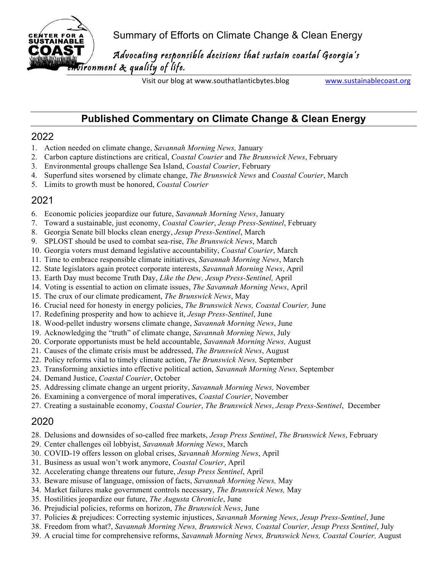Summary of Efforts on Climate Change & Clean Energy

 $\mathbf{r} = \mathbf{r} \cdot \mathbf{r} \cdot \mathbf{r}$  $\blacksquare$  Advocating responsible decisions that sustain coastal Georgia's ronment  $\&$  quality of life.

Visit our blog at www.southatlanticbytes.blog www.sustainablecoast.org

### **Published Commentary on Climate Change & Clean Energy**

#### 2022

**CENTER FOR SUSTAINABI** ПЛ

- 1. Action needed on climate change, *Savannah Morning News,* January
- 2. Carbon capture distinctions are critical, *Coastal Courier* and *The Brunswick News*, February
- 3. Environmental groups challenge Sea Island, *Coastal Courier*, February
- 4. Superfund sites worsened by climate change, *The Brunswick News* and *Coastal Courier*, March
- 5. Limits to growth must be honored, *Coastal Courier*

## 2021

- 6. Economic policies jeopardize our future, *Savannah Morning News*, January
- 7. Toward a sustainable, just economy, *Coastal Courier*, *Jesup Press-Sentinel*, February
- 8. Georgia Senate bill blocks clean energy, *Jesup Press-Sentinel*, March
- 9. SPLOST should be used to combat sea-rise, *The Brunswick News*, March
- 10. Georgia voters must demand legislative accountability, *Coastal Courier*, March
- 11. Time to embrace responsible climate initiatives, *Savannah Morning News*, March
- 12. State legislators again protect corporate interests, *Savannah Morning News*, April
- 13. Earth Day must become Truth Day, *Like the Dew, Jesup Press-Sentinel,* April
- 14. Voting is essential to action on climate issues, *The Savannah Morning News*, April
- 15. The crux of our climate predicament, *The Brunswick News*, May
- 16. Crucial need for honesty in energy policies, *The Brunswick News, Coastal Courier,* June
- 17. Redefining prosperity and how to achieve it, *Jesup Press-Sentinel*, June
- 18. Wood-pellet industry worsens climate change, *Savannah Morning News*, June
- 19. Acknowledging the "truth" of climate change, *Savannah Morning News*, July
- 20. Corporate opportunists must be held accountable, *Savannah Morning News,* August
- 21. Causes of the climate crisis must be addressed, *The Brunswick News*, August
- 22. Policy reforms vital to timely climate action, *The Brunswick News,* September
- 23. Transforming anxieties into effective political action, *Savannah Morning News,* September
- 24. Demand Justice, *Coastal Courier*, October
- 25. Addressing climate change an urgent priority, *Savannah Morning News,* November
- 26. Examining a convergence of moral imperatives, *Coastal Courier*, November
- 27. Creating a sustainable economy, *Coastal Courier*, *The Brunswick News*, *Jesup Press-Sentinel*, December

#### 2020

- 28. Delusions and downsides of so-called free markets, *Jesup Press Sentinel*, *The Brunswick News*, February
- 29. Center challenges oil lobbyist, *Savannah Morning News*, March
- 30. COVID-19 offers lesson on global crises, *Savannah Morning News*, April
- 31. Business as usual won't work anymore, *Coastal Courier*, April
- 32. Accelerating change threatens our future, *Jesup Press Sentinel*, April
- 33. Beware misuse of language, omission of facts, *Savannah Morning News,* May
- 34. Market failures make government controls necessary, *The Brunswick News,* May
- 35. Hostilities jeopardize our future, *The Augusta Chronicle*, June
- 36. Prejudicial policies, reforms on horizon, *The Brunswick News*, June
- 37. Policies & prejudices: Correcting systemic injustices, *Savannah Morning News*, *Jesup Press-Sentinel*, June
- 38. Freedom from what?, *Savannah Morning News, Brunswick News, Coastal Courier, Jesup Press Sentinel*, July
- 39. A crucial time for comprehensive reforms, *Savannah Morning News, Brunswick News, Coastal Courier,* August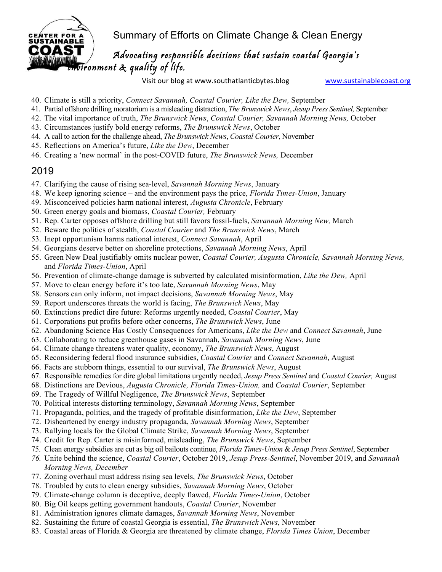**GENTER FOR A** Summary of Efforts on Climate Change & Clean Energy

 $\mathbf{r} = \mathbf{r} \cdot \mathbf{r} \cdot \mathbf{r}$  $\blacksquare$  Advocating responsible decisions that sustain coastal Georgia's ironment  $\mathcal R$  quality of life.

Visit our blog at www.southatlanticbytes.blog www.sustainablecoast.org

- 40. Climate is still a priority, *Connect Savannah, Coastal Courier, Like the Dew,* September
- 41. Partial offshore drilling moratorium is a misleading distraction, *The Brunswick News*, *Jesup Press Sentinel,* September
- 42. The vital importance of truth, *The Brunswick News*, *Coastal Courier, Savannah Morning News,* October
- 43. Circumstances justify bold energy reforms, *The Brunswick News*, October
- 44. A call to action for the challenge ahead, *The Brunswick News*, *Coastal Courier*, November
- 45. Reflections on America's future, *Like the Dew*, December
- 46. Creating a 'new normal' in the post-COVID future, *The Brunswick News,* December

#### 2019

**COZA** 

- 47. Clarifying the cause of rising sea-level, *Savannah Morning News*, January
- 48. We keep ignoring science and the environment pays the price, *Florida Times-Union*, January
- 49. Misconceived policies harm national interest, *Augusta Chronicle*, February
- 50. Green energy goals and biomass, *Coastal Courier,* February
- 51. Rep. Carter opposes offshore drilling but still favors fossil-fuels, *Savannah Morning New,* March
- 52. Beware the politics of stealth, *Coastal Courier* and *The Brunswick News*, March
- 53. Inept opportunism harms national interest, *Connect Savannah*, April
- 54. Georgians deserve better on shoreline protections, *Savannah Morning News*, April
- 55. Green New Deal justifiably omits nuclear power, *Coastal Courier, Augusta Chronicle, Savannah Morning News,*  and *Florida Times-Union*, April
- 56. Prevention of climate-change damage is subverted by calculated misinformation, *Like the Dew,* April
- 57. Move to clean energy before it's too late, *Savannah Morning News*, May
- 58. Sensors can only inform, not impact decisions, *Savannah Morning News*, May
- 59. Report underscores threats the world is facing, *The Brunswick News*, May
- 60. Extinctions predict dire future: Reforms urgently needed, *Coastal Courier*, May
- 61. Corporations put profits before other concerns, *The Brunswick News*, June
- 62. Abandoning Science Has Costly Consequences for Americans, *Like the Dew* and *Connect Savannah*, June
- 63. Collaborating to reduce greenhouse gases in Savannah, *Savannah Morning News*, June
- 64. Climate change threatens water quality, economy, *The Brunswick News*, August
- 65. Reconsidering federal flood insurance subsidies, *Coastal Courier* and *Connect Savannah*, August
- 66. Facts are stubborn things, essential to our survival, *The Brunswick News*, August
- 67. Responsible remedies for dire global limitations urgently needed, *Jesup Press Sentinel* and *Coastal Courier,* August
- 68. Distinctions are Devious, *Augusta Chronicle, Florida Times-Union,* and *Coastal Courier*, September
- 69. The Tragedy of Willful Negligence, *The Brunswick News*, September
- 70. Political interests distorting terminology, *Savannah Morning News*, September
- 71. Propaganda, politics, and the tragedy of profitable disinformation, *Like the Dew*, September
- 72. Disheartened by energy industry propaganda, *Savannah Morning News*, September
- 73. Rallying locals for the Global Climate Strike, *Savannah Morning News*, September
- 74. Credit for Rep. Carter is misinformed, misleading, *The Brunswick News*, September
- 75. Clean energy subsidies are cut as big oil bailouts continue, *Florida Times-Union* & *Jesup Press Sentinel*, September
- *76.* Unite behind the science, *Coastal Courier*, October 2019, *Jesup Press-Sentinel*, November 2019, and *Savannah Morning News, December*
- 77. Zoning overhaul must address rising sea levels, *The Brunswick News*, October
- 78. Troubled by cuts to clean energy subsidies, *Savannah Morning News*, October
- 79. Climate-change column is deceptive, deeply flawed, *Florida Times-Union*, October
- 80. Big Oil keeps getting government handouts, *Coastal Courier*, November
- 81. Administration ignores climate damages, *Savannah Morning News*, November
- 82. Sustaining the future of coastal Georgia is essential, *The Brunswick News*, November
- 83. Coastal areas of Florida & Georgia are threatened by climate change, *Florida Times Union*, December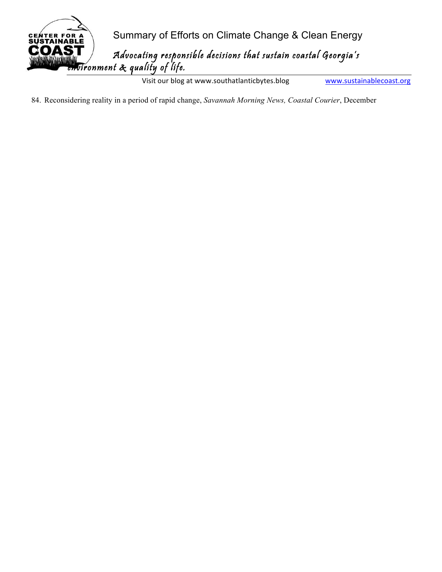

Visit our blog at www.southatlanticbytes.blog www.sustainablecoast.org

84. Reconsidering reality in a period of rapid change, *Savannah Morning News, Coastal Courier*, December